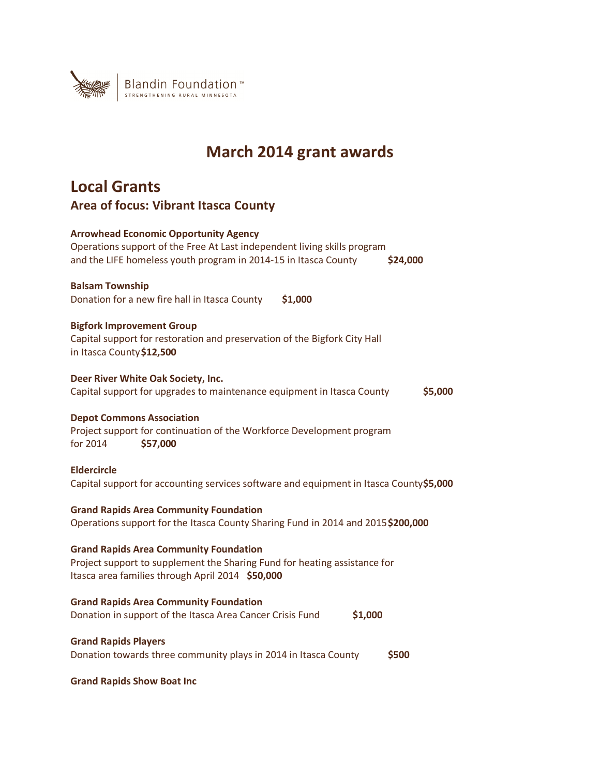

# **March 2014 grant awards**

# **Local Grants Area of focus: Vibrant Itasca County**

| <b>Arrowhead Economic Opportunity Agency</b><br>Operations support of the Free At Last independent living skills program<br>and the LIFE homeless youth program in 2014-15 in Itasca County<br>\$24,000 |
|---------------------------------------------------------------------------------------------------------------------------------------------------------------------------------------------------------|
| <b>Balsam Township</b><br>\$1,000<br>Donation for a new fire hall in Itasca County                                                                                                                      |
| <b>Bigfork Improvement Group</b><br>Capital support for restoration and preservation of the Bigfork City Hall<br>in Itasca County \$12,500                                                              |
| Deer River White Oak Society, Inc.<br>Capital support for upgrades to maintenance equipment in Itasca County<br>\$5,000                                                                                 |
| <b>Depot Commons Association</b><br>Project support for continuation of the Workforce Development program<br>for 2014<br>\$57,000                                                                       |
| <b>Eldercircle</b><br>Capital support for accounting services software and equipment in Itasca County\$5,000                                                                                            |
| <b>Grand Rapids Area Community Foundation</b><br>Operations support for the Itasca County Sharing Fund in 2014 and 2015\$200,000                                                                        |
| <b>Grand Rapids Area Community Foundation</b><br>Project support to supplement the Sharing Fund for heating assistance for<br>Itasca area families through April 2014 \$50,000                          |
| <b>Grand Rapids Area Community Foundation</b><br>Donation in support of the Itasca Area Cancer Crisis Fund<br>\$1,000                                                                                   |
| <b>Grand Rapids Players</b><br>Donation towards three community plays in 2014 in Itasca County<br>\$500                                                                                                 |

**Grand Rapids Show Boat Inc**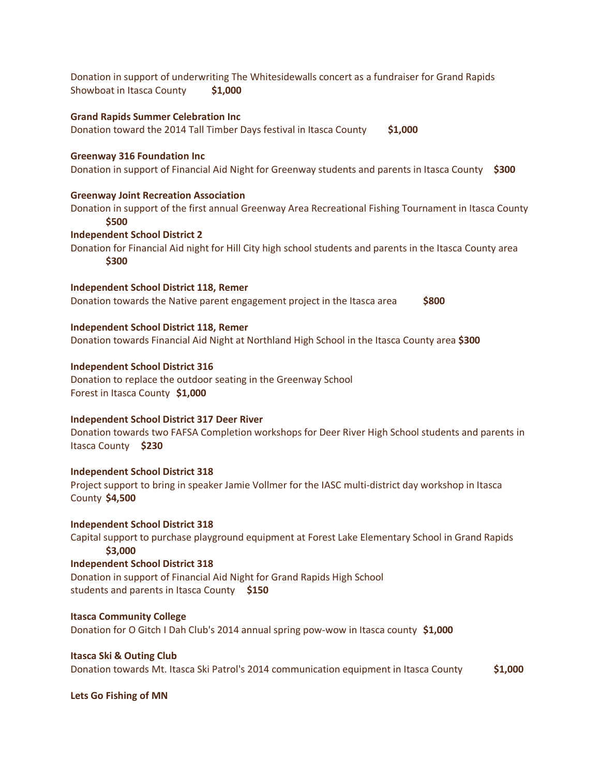Donation in support of underwriting The Whitesidewalls concert as a fundraiser for Grand Rapids Showboat in Itasca County **\$1,000 Grand Rapids Summer Celebration Inc**  Donation toward the 2014 Tall Timber Days festival in Itasca County **\$1,000 Greenway 316 Foundation Inc**  Donation in support of Financial Aid Night for Greenway students and parents in Itasca County **\$300 Greenway Joint Recreation Association**  Donation in support of the first annual Greenway Area Recreational Fishing Tournament in Itasca County **\$500 Independent School District 2**  Donation for Financial Aid night for Hill City high school students and parents in the Itasca County area **\$300 Independent School District 118, Remer**  Donation towards the Native parent engagement project in the Itasca area **\$800 Independent School District 118, Remer**  Donation towards Financial Aid Night at Northland High School in the Itasca County area **\$300 Independent School District 316**  Donation to replace the outdoor seating in the Greenway School Forest in Itasca County **\$1,000 Independent School District 317 Deer River**  Donation towards two FAFSA Completion workshops for Deer River High School students and parents in Itasca County **\$230 Independent School District 318**  Project support to bring in speaker Jamie Vollmer for the IASC multi-district day workshop in Itasca County **\$4,500 Independent School District 318**  Capital support to purchase playground equipment at Forest Lake Elementary School in Grand Rapids  **\$3,000 Independent School District 318**  Donation in support of Financial Aid Night for Grand Rapids High School students and parents in Itasca County **\$150 Itasca Community College**  Donation for O Gitch I Dah Club's 2014 annual spring pow-wow in Itasca county **\$1,000**

**Itasca Ski & Outing Club**  Donation towards Mt. Itasca Ski Patrol's 2014 communication equipment in Itasca County **\$1,000**

**Lets Go Fishing of MN**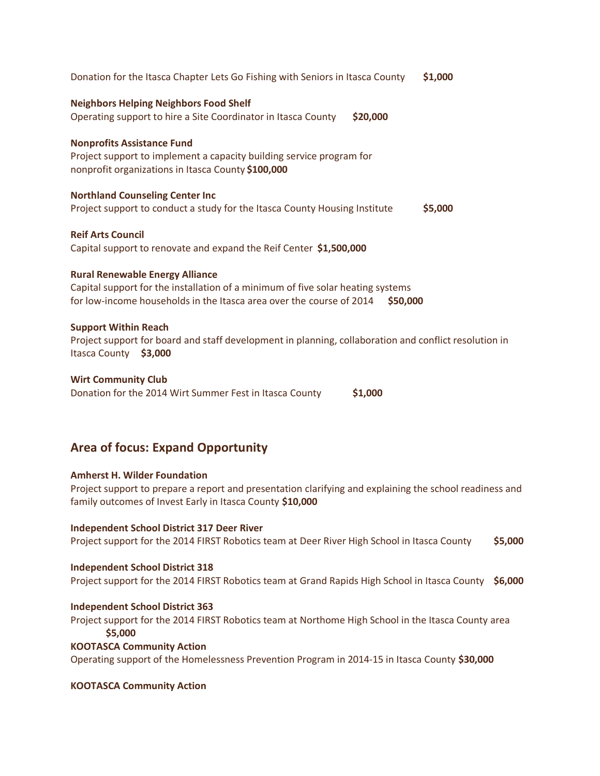| Donation for the Itasca Chapter Lets Go Fishing with Seniors in Itasca County                                                                                                                                 | \$1,000 |
|---------------------------------------------------------------------------------------------------------------------------------------------------------------------------------------------------------------|---------|
| <b>Neighbors Helping Neighbors Food Shelf</b><br>Operating support to hire a Site Coordinator in Itasca County<br>\$20,000                                                                                    |         |
| <b>Nonprofits Assistance Fund</b><br>Project support to implement a capacity building service program for<br>nonprofit organizations in Itasca County \$100,000                                               |         |
| <b>Northland Counseling Center Inc</b><br>Project support to conduct a study for the Itasca County Housing Institute                                                                                          | \$5,000 |
| <b>Reif Arts Council</b><br>Capital support to renovate and expand the Reif Center \$1,500,000                                                                                                                |         |
| <b>Rural Renewable Energy Alliance</b><br>Capital support for the installation of a minimum of five solar heating systems<br>for low-income households in the Itasca area over the course of 2014<br>\$50,000 |         |
| <b>Support Within Reach</b><br>Project support for board and staff development in planning, collaboration and conflict resolution in<br>Itasca County \$3,000                                                 |         |
| <b>Wirt Community Club</b><br>Donation for the 2014 Wirt Summer Fest in Itasca County<br>\$1,000                                                                                                              |         |

# **Area of focus: Expand Opportunity**

# **Amherst H. Wilder Foundation**

Project support to prepare a report and presentation clarifying and explaining the school readiness and family outcomes of Invest Early in Itasca County **\$10,000**

# **Independent School District 317 Deer River**

Project support for the 2014 FIRST Robotics team at Deer River High School in Itasca County **\$5,000**

# **Independent School District 318**

Project support for the 2014 FIRST Robotics team at Grand Rapids High School in Itasca County **\$6,000**

# **Independent School District 363**

Project support for the 2014 FIRST Robotics team at Northome High School in the Itasca County area **\$5,000**

# **KOOTASCA Community Action**

Operating support of the Homelessness Prevention Program in 2014-15 in Itasca County **\$30,000** 

# **KOOTASCA Community Action**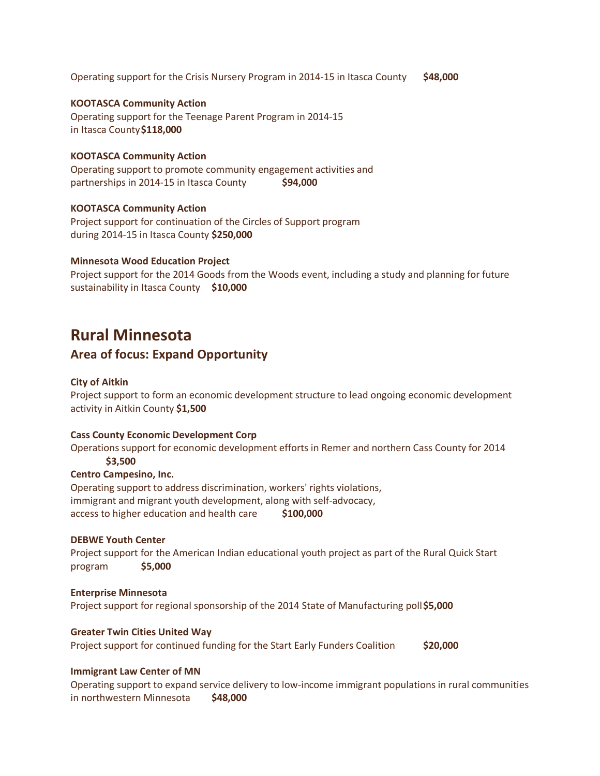Operating support for the Crisis Nursery Program in 2014-15 in Itasca County **\$48,000** 

# **KOOTASCA Community Action**

Operating support for the Teenage Parent Program in 2014-15 in Itasca County **\$118,000** 

# **KOOTASCA Community Action**

Operating support to promote community engagement activities and partnerships in 2014-15 in Itasca County **\$94,000** 

# **KOOTASCA Community Action**

Project support for continuation of the Circles of Support program during 2014-15 in Itasca County **\$250,000** 

# **Minnesota Wood Education Project**

Project support for the 2014 Goods from the Woods event, including a study and planning for future sustainability in Itasca County **\$10,000**

# **Rural Minnesota**

# **Area of focus: Expand Opportunity**

# **City of Aitkin**

Project support to form an economic development structure to lead ongoing economic development activity in Aitkin County **\$1,500** 

# **Cass County Economic Development Corp**

Operations support for economic development efforts in Remer and northern Cass County for 2014  **\$3,500** 

# **Centro Campesino, Inc.**

Operating support to address discrimination, workers' rights violations, immigrant and migrant youth development, along with self-advocacy, access to higher education and health care **\$100,000**

# **DEBWE Youth Center**

Project support for the American Indian educational youth project as part of the Rural Quick Start program **\$5,000** 

# **Enterprise Minnesota**  Project support for regional sponsorship of the 2014 State of Manufacturing poll **\$5,000**

# **Greater Twin Cities United Way**

Project support for continued funding for the Start Early Funders Coalition **\$20,000**

# **Immigrant Law Center of MN**

Operating support to expand service delivery to low-income immigrant populations in rural communities in northwestern Minnesota **\$48,000**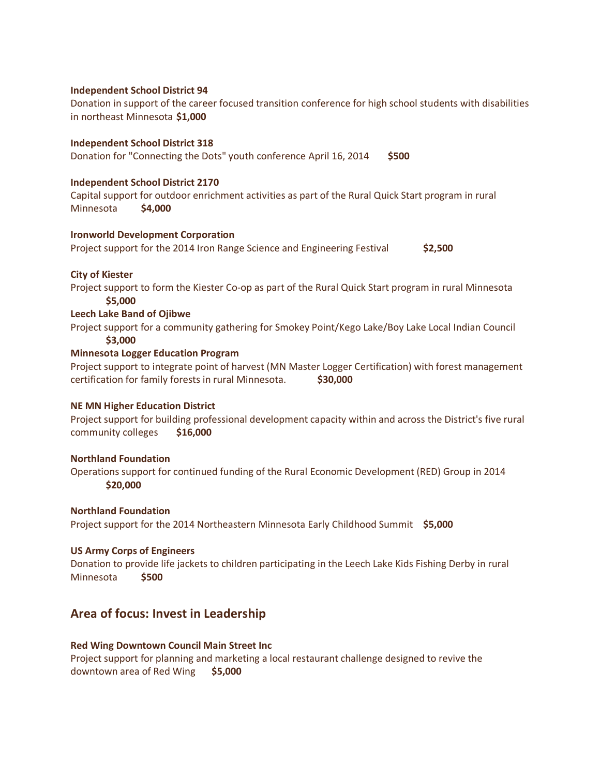# **Independent School District 94**

Donation in support of the career focused transition conference for high school students with disabilities in northeast Minnesota **\$1,000** 

# **Independent School District 318**

Donation for "Connecting the Dots" youth conference April 16, 2014 **\$500** 

# **Independent School District 2170**

Capital support for outdoor enrichment activities as part of the Rural Quick Start program in rural Minnesota **\$4,000** 

# **Ironworld Development Corporation**

Project support for the 2014 Iron Range Science and Engineering Festival **\$2,500** 

# **City of Kiester**

Project support to form the Kiester Co-op as part of the Rural Quick Start program in rural Minnesota  **\$5,000** 

# **Leech Lake Band of Ojibwe**

Project support for a community gathering for Smokey Point/Kego Lake/Boy Lake Local Indian Council  **\$3,000** 

# **Minnesota Logger Education Program**

Project support to integrate point of harvest (MN Master Logger Certification) with forest management certification for family forests in rural Minnesota. **\$30,000**

# **NE MN Higher Education District**

Project support for building professional development capacity within and across the District's five rural community colleges **\$16,000**

# **Northland Foundation**

Operations support for continued funding of the Rural Economic Development (RED) Group in 2014 **\$20,000**

# **Northland Foundation**

Project support for the 2014 Northeastern Minnesota Early Childhood Summit **\$5,000** 

# **US Army Corps of Engineers**

Donation to provide life jackets to children participating in the Leech Lake Kids Fishing Derby in rural Minnesota **\$500** 

# **Area of focus: Invest in Leadership**

# **Red Wing Downtown Council Main Street Inc**

Project support for planning and marketing a local restaurant challenge designed to revive the downtown area of Red Wing **\$5,000**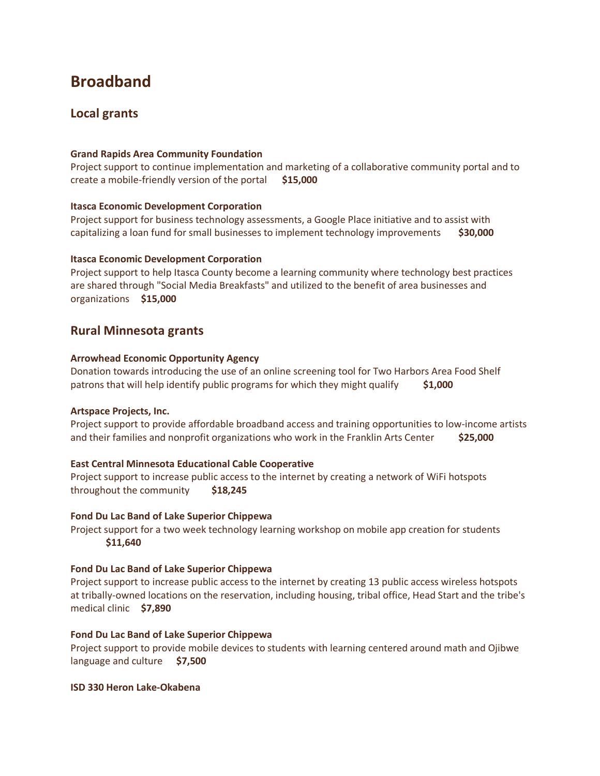# **Broadband**

# **Local grants**

# **Grand Rapids Area Community Foundation**

Project support to continue implementation and marketing of a collaborative community portal and to create a mobile-friendly version of the portal **\$15,000** 

# **Itasca Economic Development Corporation**

Project support for business technology assessments, a Google Place initiative and to assist with capitalizing a loan fund for small businesses to implement technology improvements **\$30,000** 

# **Itasca Economic Development Corporation**

Project support to help Itasca County become a learning community where technology best practices are shared through "Social Media Breakfasts" and utilized to the benefit of area businesses and organizations **\$15,000**

# **Rural Minnesota grants**

# **Arrowhead Economic Opportunity Agency**

Donation towards introducing the use of an online screening tool for Two Harbors Area Food Shelf patrons that will help identify public programs for which they might qualify **\$1,000** 

# **Artspace Projects, Inc.**

Project support to provide affordable broadband access and training opportunities to low-income artists and their families and nonprofit organizations who work in the Franklin Arts Center **\$25,000** 

# **East Central Minnesota Educational Cable Cooperative**

Project support to increase public access to the internet by creating a network of WiFi hotspots throughout the community **\$18,245** 

# **Fond Du Lac Band of Lake Superior Chippewa**

Project support for a two week technology learning workshop on mobile app creation for students  **\$11,640** 

# **Fond Du Lac Band of Lake Superior Chippewa**

Project support to increase public access to the internet by creating 13 public access wireless hotspots at tribally-owned locations on the reservation, including housing, tribal office, Head Start and the tribe's medical clinic **\$7,890** 

# **Fond Du Lac Band of Lake Superior Chippewa**

Project support to provide mobile devices to students with learning centered around math and Ojibwe language and culture **\$7,500** 

# **ISD 330 Heron Lake-Okabena**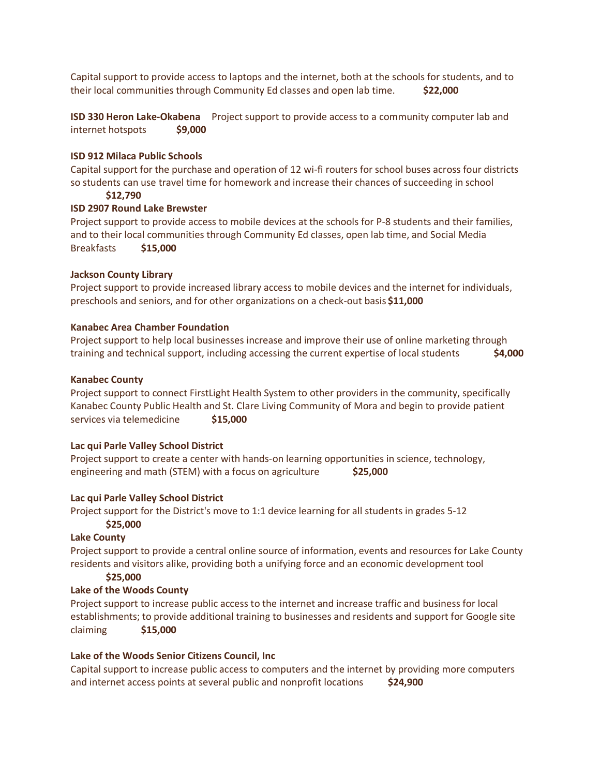Capital support to provide access to laptops and the internet, both at the schools for students, and to their local communities through Community Ed classes and open lab time. **\$22,000** 

**ISD 330 Heron Lake-Okabena** Project support to provide access to a community computer lab and internet hotspots **\$9,000** 

# **ISD 912 Milaca Public Schools**

Capital support for the purchase and operation of 12 wi-fi routers for school buses across four districts so students can use travel time for homework and increase their chances of succeeding in school

 **\$12,790** 

# **ISD 2907 Round Lake Brewster**

Project support to provide access to mobile devices at the schools for P-8 students and their families, and to their local communities through Community Ed classes, open lab time, and Social Media Breakfasts **\$15,000** 

# **Jackson County Library**

Project support to provide increased library access to mobile devices and the internet for individuals, preschools and seniors, and for other organizations on a check-out basis **\$11,000** 

# **Kanabec Area Chamber Foundation**

Project support to help local businesses increase and improve their use of online marketing through training and technical support, including accessing the current expertise of local students **\$4,000** 

# **Kanabec County**

Project support to connect FirstLight Health System to other providers in the community, specifically Kanabec County Public Health and St. Clare Living Community of Mora and begin to provide patient services via telemedicine \$15,000

# **Lac qui Parle Valley School District**

Project support to create a center with hands-on learning opportunities in science, technology, engineering and math (STEM) with a focus on agriculture **\$25,000** 

# **Lac qui Parle Valley School District**

Project support for the District's move to 1:1 device learning for all students in grades 5-12  **\$25,000** 

# **Lake County**

Project support to provide a central online source of information, events and resources for Lake County residents and visitors alike, providing both a unifying force and an economic development tool

# **\$25,000**

# **Lake of the Woods County**

Project support to increase public access to the internet and increase traffic and business for local establishments; to provide additional training to businesses and residents and support for Google site claiming **\$15,000** 

# **Lake of the Woods Senior Citizens Council, Inc**

Capital support to increase public access to computers and the internet by providing more computers and internet access points at several public and nonprofit locations **\$24,900**